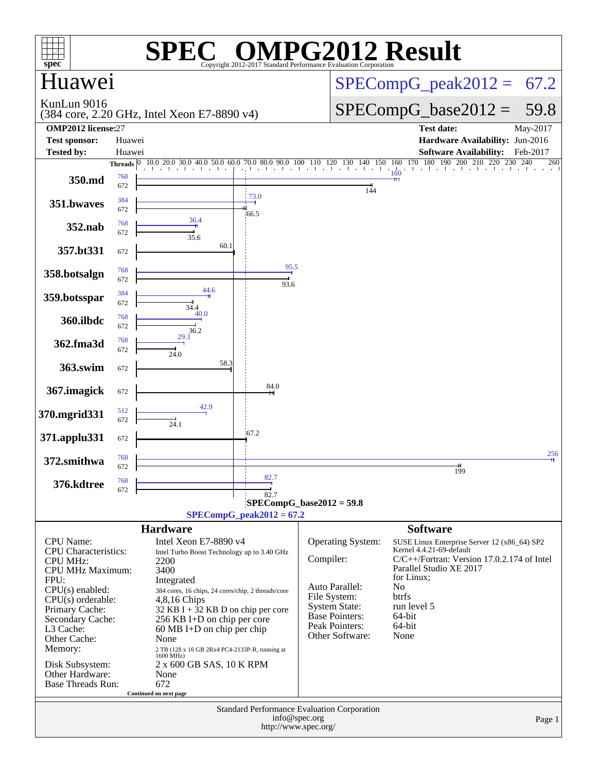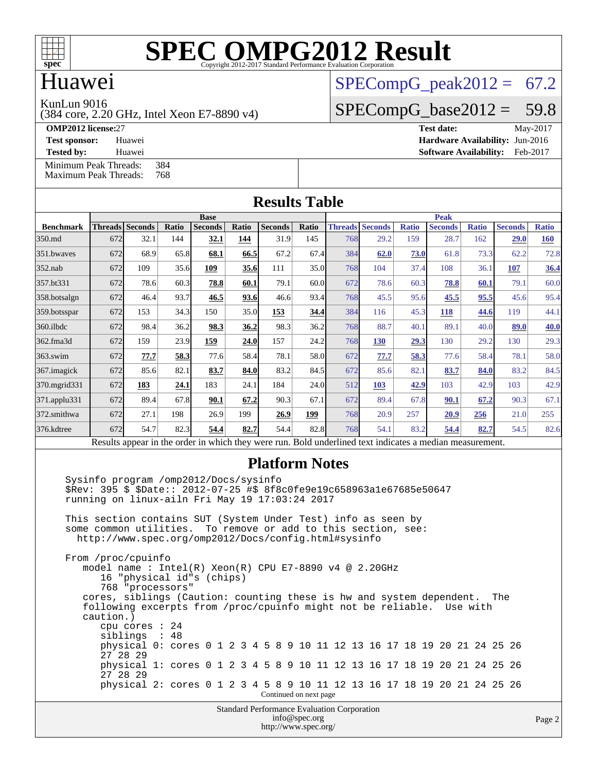

# Huawei

KunLun 9016

(384 core, 2.20 GHz, Intel Xeon E7-8890 v4)

 $SPECompG<sub>peak2012</sub> = 67.2$ 

 $SPECompG_base2012 = 59.8$  $SPECompG_base2012 = 59.8$ **[OMP2012 license:](http://www.spec.org/auto/omp2012/Docs/result-fields.html#OMP2012license)**27 **[Test date:](http://www.spec.org/auto/omp2012/Docs/result-fields.html#Testdate)** May-2017

**[Test sponsor:](http://www.spec.org/auto/omp2012/Docs/result-fields.html#Testsponsor)** Huawei **[Hardware Availability:](http://www.spec.org/auto/omp2012/Docs/result-fields.html#HardwareAvailability)** Jun-2016

**[Tested by:](http://www.spec.org/auto/omp2012/Docs/result-fields.html#Testedby)** Huawei **[Software Availability:](http://www.spec.org/auto/omp2012/Docs/result-fields.html#SoftwareAvailability)** Feb-2017 [Minimum Peak Threads:](http://www.spec.org/auto/omp2012/Docs/result-fields.html#MinimumPeakThreads) 384<br>Maximum Peak Threads: 768 [Maximum Peak Threads:](http://www.spec.org/auto/omp2012/Docs/result-fields.html#MaximumPeakThreads)

**[Results Table](http://www.spec.org/auto/omp2012/Docs/result-fields.html#ResultsTable) [Benchmark](http://www.spec.org/auto/omp2012/Docs/result-fields.html#Benchmark) [Threads](http://www.spec.org/auto/omp2012/Docs/result-fields.html#Threads) [Seconds](http://www.spec.org/auto/omp2012/Docs/result-fields.html#Seconds) [Ratio](http://www.spec.org/auto/omp2012/Docs/result-fields.html#Ratio) [Seconds](http://www.spec.org/auto/omp2012/Docs/result-fields.html#Seconds) [Ratio](http://www.spec.org/auto/omp2012/Docs/result-fields.html#Ratio) [Seconds](http://www.spec.org/auto/omp2012/Docs/result-fields.html#Seconds) [Ratio](http://www.spec.org/auto/omp2012/Docs/result-fields.html#Ratio) Base [Threads](http://www.spec.org/auto/omp2012/Docs/result-fields.html#Threads) [Seconds](http://www.spec.org/auto/omp2012/Docs/result-fields.html#Seconds) [Ratio](http://www.spec.org/auto/omp2012/Docs/result-fields.html#Ratio) [Seconds](http://www.spec.org/auto/omp2012/Docs/result-fields.html#Seconds) [Ratio](http://www.spec.org/auto/omp2012/Docs/result-fields.html#Ratio) [Seconds](http://www.spec.org/auto/omp2012/Docs/result-fields.html#Seconds) [Ratio](http://www.spec.org/auto/omp2012/Docs/result-fields.html#Ratio) Peak** [350.md](http://www.spec.org/auto/omp2012/Docs/350.md.html) 672 32.1 144 **[32.1](http://www.spec.org/auto/omp2012/Docs/result-fields.html#Median) [144](http://www.spec.org/auto/omp2012/Docs/result-fields.html#Median)** 31.9 145 768 29.2 159 28.7 162 **[29.0](http://www.spec.org/auto/omp2012/Docs/result-fields.html#Median) [160](http://www.spec.org/auto/omp2012/Docs/result-fields.html#Median)** [351.bwaves](http://www.spec.org/auto/omp2012/Docs/351.bwaves.html) 672 68.9 65.8 **[68.1](http://www.spec.org/auto/omp2012/Docs/result-fields.html#Median) [66.5](http://www.spec.org/auto/omp2012/Docs/result-fields.html#Median)** 67.2 67.4 384 **[62.0](http://www.spec.org/auto/omp2012/Docs/result-fields.html#Median) [73.0](http://www.spec.org/auto/omp2012/Docs/result-fields.html#Median)** 61.8 73.3 62.2 72.8 [352.nab](http://www.spec.org/auto/omp2012/Docs/352.nab.html) 672 109 35.6 **[109](http://www.spec.org/auto/omp2012/Docs/result-fields.html#Median) [35.6](http://www.spec.org/auto/omp2012/Docs/result-fields.html#Median)** 111 35.0 768 104 37.4 108 36.1 **[107](http://www.spec.org/auto/omp2012/Docs/result-fields.html#Median) [36.4](http://www.spec.org/auto/omp2012/Docs/result-fields.html#Median)** [357.bt331](http://www.spec.org/auto/omp2012/Docs/357.bt331.html) 672 78.6 60.3 **[78.8](http://www.spec.org/auto/omp2012/Docs/result-fields.html#Median) [60.1](http://www.spec.org/auto/omp2012/Docs/result-fields.html#Median)** 79.1 60.0 672 78.6 60.3 **[78.8](http://www.spec.org/auto/omp2012/Docs/result-fields.html#Median) [60.1](http://www.spec.org/auto/omp2012/Docs/result-fields.html#Median)** 79.1 60.0 [358.botsalgn](http://www.spec.org/auto/omp2012/Docs/358.botsalgn.html) 672 46.4 93.7 **[46.5](http://www.spec.org/auto/omp2012/Docs/result-fields.html#Median) [93.6](http://www.spec.org/auto/omp2012/Docs/result-fields.html#Median)** 46.6 93.4 768 45.5 95.6 **[45.5](http://www.spec.org/auto/omp2012/Docs/result-fields.html#Median) [95.5](http://www.spec.org/auto/omp2012/Docs/result-fields.html#Median)** 45.6 95.4 [359.botsspar](http://www.spec.org/auto/omp2012/Docs/359.botsspar.html) 672 153 34.3 150 35.0 **[153](http://www.spec.org/auto/omp2012/Docs/result-fields.html#Median) [34.4](http://www.spec.org/auto/omp2012/Docs/result-fields.html#Median)** 384 116 45.3 **[118](http://www.spec.org/auto/omp2012/Docs/result-fields.html#Median) [44.6](http://www.spec.org/auto/omp2012/Docs/result-fields.html#Median)** 119 44.1 [360.ilbdc](http://www.spec.org/auto/omp2012/Docs/360.ilbdc.html) 672 98.4 36.2 **[98.3](http://www.spec.org/auto/omp2012/Docs/result-fields.html#Median) [36.2](http://www.spec.org/auto/omp2012/Docs/result-fields.html#Median)** 98.3 36.2 768 88.7 40.1 89.1 40.0 **[89.0](http://www.spec.org/auto/omp2012/Docs/result-fields.html#Median) [40.0](http://www.spec.org/auto/omp2012/Docs/result-fields.html#Median)** [362.fma3d](http://www.spec.org/auto/omp2012/Docs/362.fma3d.html) 672 159 23.9 **[159](http://www.spec.org/auto/omp2012/Docs/result-fields.html#Median) [24.0](http://www.spec.org/auto/omp2012/Docs/result-fields.html#Median)** 157 24.2 768 **[130](http://www.spec.org/auto/omp2012/Docs/result-fields.html#Median) [29.3](http://www.spec.org/auto/omp2012/Docs/result-fields.html#Median)** 130 29.2 130 29.3 [363.swim](http://www.spec.org/auto/omp2012/Docs/363.swim.html) 672 **[77.7](http://www.spec.org/auto/omp2012/Docs/result-fields.html#Median) [58.3](http://www.spec.org/auto/omp2012/Docs/result-fields.html#Median)** 77.6 58.4 78.1 58.0 672 **[77.7](http://www.spec.org/auto/omp2012/Docs/result-fields.html#Median) [58.3](http://www.spec.org/auto/omp2012/Docs/result-fields.html#Median)** 77.6 58.4 78.1 58.0 [367.imagick](http://www.spec.org/auto/omp2012/Docs/367.imagick.html) 672 85.6 82.1 **[83.7](http://www.spec.org/auto/omp2012/Docs/result-fields.html#Median) [84.0](http://www.spec.org/auto/omp2012/Docs/result-fields.html#Median)** 83.2 84.5 672 85.6 82.1 **[83.7](http://www.spec.org/auto/omp2012/Docs/result-fields.html#Median) [84.0](http://www.spec.org/auto/omp2012/Docs/result-fields.html#Median)** 83.2 84.5 [370.mgrid331](http://www.spec.org/auto/omp2012/Docs/370.mgrid331.html) 672 **[183](http://www.spec.org/auto/omp2012/Docs/result-fields.html#Median) [24.1](http://www.spec.org/auto/omp2012/Docs/result-fields.html#Median)** 183 24.1 184 24.0 512 **[103](http://www.spec.org/auto/omp2012/Docs/result-fields.html#Median) [42.9](http://www.spec.org/auto/omp2012/Docs/result-fields.html#Median)** 103 42.9 103 42.9 [371.applu331](http://www.spec.org/auto/omp2012/Docs/371.applu331.html) 672 89.4 67.8 **[90.1](http://www.spec.org/auto/omp2012/Docs/result-fields.html#Median) [67.2](http://www.spec.org/auto/omp2012/Docs/result-fields.html#Median)** 90.3 67.1 672 89.4 67.8 **[90.1](http://www.spec.org/auto/omp2012/Docs/result-fields.html#Median) [67.2](http://www.spec.org/auto/omp2012/Docs/result-fields.html#Median)** 90.3 67.1 [372.smithwa](http://www.spec.org/auto/omp2012/Docs/372.smithwa.html) 672 27.1 198 26.9 199 **[26.9](http://www.spec.org/auto/omp2012/Docs/result-fields.html#Median) [199](http://www.spec.org/auto/omp2012/Docs/result-fields.html#Median)** 768 20.9 257 **[20.9](http://www.spec.org/auto/omp2012/Docs/result-fields.html#Median) [256](http://www.spec.org/auto/omp2012/Docs/result-fields.html#Median)** 21.0 255 [376.kdtree](http://www.spec.org/auto/omp2012/Docs/376.kdtree.html) 672 54.7 82.3 **[54.4](http://www.spec.org/auto/omp2012/Docs/result-fields.html#Median) [82.7](http://www.spec.org/auto/omp2012/Docs/result-fields.html#Median)** 54.4 82.8 768 54.1 83.2 **[54.4](http://www.spec.org/auto/omp2012/Docs/result-fields.html#Median) [82.7](http://www.spec.org/auto/omp2012/Docs/result-fields.html#Median)** 54.5 82.6 Results appear in the [order in which they were run.](http://www.spec.org/auto/omp2012/Docs/result-fields.html#RunOrder) Bold underlined text [indicates a median measurement.](http://www.spec.org/auto/omp2012/Docs/result-fields.html#Median)

### **[Platform Notes](http://www.spec.org/auto/omp2012/Docs/result-fields.html#PlatformNotes)**

 Sysinfo program /omp2012/Docs/sysinfo \$Rev: 395 \$ \$Date:: 2012-07-25 #\$ 8f8c0fe9e19c658963a1e67685e50647 running on linux-ailn Fri May 19 17:03:24 2017 This section contains SUT (System Under Test) info as seen by some common utilities. To remove or add to this section, see: <http://www.spec.org/omp2012/Docs/config.html#sysinfo> From /proc/cpuinfo model name : Intel(R) Xeon(R) CPU E7-8890 v4 @ 2.20GHz 16 "physical id"s (chips) 768 "processors" cores, siblings (Caution: counting these is hw and system dependent. The following excerpts from /proc/cpuinfo might not be reliable. Use with caution.) cpu cores : 24 siblings : 48 physical 0: cores 0 1 2 3 4 5 8 9 10 11 12 13 16 17 18 19 20 21 24 25 26

 27 28 29 physical 1: cores 0 1 2 3 4 5 8 9 10 11 12 13 16 17 18 19 20 21 24 25 26 27 28 29 physical 2: cores 0 1 2 3 4 5 8 9 10 11 12 13 16 17 18 19 20 21 24 25 26 Continued on next page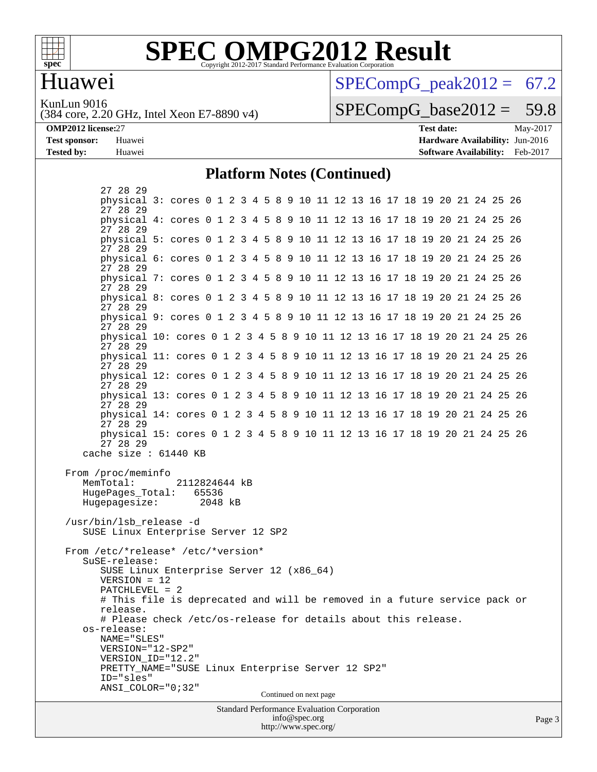

### **[SPEC OMPG2012 Result](http://www.spec.org/auto/omp2012/Docs/result-fields.html#SPECOMPG2012Result)** Copyright 2012-2017 Standard Performance Evaluation Corporation

# Huawei

 $SPECompG<sub>peak2012</sub> = 67.2$ 

KunLun 9016

(384 core, 2.20 GHz, Intel Xeon E7-8890 v4)

 $SPECompG_base2012 = 59.8$  $SPECompG_base2012 = 59.8$ 

**[OMP2012 license:](http://www.spec.org/auto/omp2012/Docs/result-fields.html#OMP2012license)**27 **[Test date:](http://www.spec.org/auto/omp2012/Docs/result-fields.html#Testdate)** May-2017 **[Test sponsor:](http://www.spec.org/auto/omp2012/Docs/result-fields.html#Testsponsor)** Huawei **[Hardware Availability:](http://www.spec.org/auto/omp2012/Docs/result-fields.html#HardwareAvailability)** Jun-2016 **[Tested by:](http://www.spec.org/auto/omp2012/Docs/result-fields.html#Testedby)** Huawei **[Software Availability:](http://www.spec.org/auto/omp2012/Docs/result-fields.html#SoftwareAvailability)** Feb-2017

#### **[Platform Notes \(Continued\)](http://www.spec.org/auto/omp2012/Docs/result-fields.html#PlatformNotes)**

<http://www.spec.org/>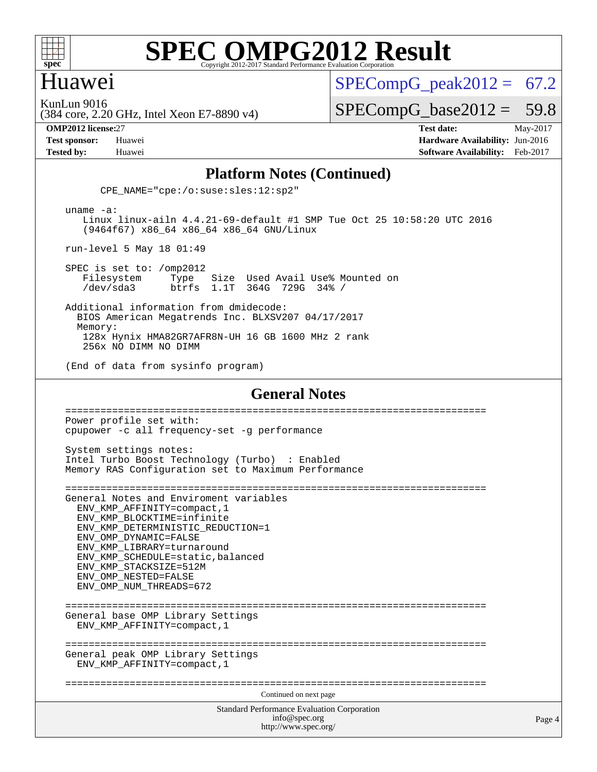

### Huawei

 $SPECompG<sub>peak2012</sub> = 67.2$ 

KunLun 9016

 $SPECompG_base2012 = 59.8$  $SPECompG_base2012 = 59.8$ 

(384 core, 2.20 GHz, Intel Xeon E7-8890 v4)

**[OMP2012 license:](http://www.spec.org/auto/omp2012/Docs/result-fields.html#OMP2012license)**27 **[Test date:](http://www.spec.org/auto/omp2012/Docs/result-fields.html#Testdate)** May-2017 **[Test sponsor:](http://www.spec.org/auto/omp2012/Docs/result-fields.html#Testsponsor)** Huawei **[Hardware Availability:](http://www.spec.org/auto/omp2012/Docs/result-fields.html#HardwareAvailability)** Jun-2016 **[Tested by:](http://www.spec.org/auto/omp2012/Docs/result-fields.html#Testedby)** Huawei **[Software Availability:](http://www.spec.org/auto/omp2012/Docs/result-fields.html#SoftwareAvailability)** Feb-2017

#### **[Platform Notes \(Continued\)](http://www.spec.org/auto/omp2012/Docs/result-fields.html#PlatformNotes)**

CPE\_NAME="cpe:/o:suse:sles:12:sp2"

 uname -a: Linux linux-ailn 4.4.21-69-default #1 SMP Tue Oct 25 10:58:20 UTC 2016 (9464f67) x86\_64 x86\_64 x86\_64 GNU/Linux

run-level 5 May 18 01:49

 SPEC is set to: /omp2012 Filesystem Type Size Used Avail Use% Mounted on<br>
/dev/sda3 btrfs 1.1T 364G 729G 34% / /dev/sda3 btrfs 1.1T 364G 729G 34% /

 Additional information from dmidecode: BIOS American Megatrends Inc. BLXSV207 04/17/2017 Memory: 128x Hynix HMA82GR7AFR8N-UH 16 GB 1600 MHz 2 rank 256x NO DIMM NO DIMM

(End of data from sysinfo program)

#### **[General Notes](http://www.spec.org/auto/omp2012/Docs/result-fields.html#GeneralNotes)**

Standard Performance Evaluation Corporation [info@spec.org](mailto:info@spec.org) <http://www.spec.org/> Page 4 ======================================================================== Power profile set with: cpupower -c all frequency-set -g performance System settings notes: Intel Turbo Boost Technology (Turbo) : Enabled Memory RAS Configuration set to Maximum Performance ======================================================================== General Notes and Enviroment variables ENV\_KMP\_AFFINITY=compact,1 ENV\_KMP\_BLOCKTIME=infinite ENV KMP\_DETERMINISTIC\_REDUCTION=1 ENV\_OMP\_DYNAMIC=FALSE ENV\_KMP\_LIBRARY=turnaround ENV\_KMP\_SCHEDULE=static,balanced ENV\_KMP\_STACKSIZE=512M ENV\_OMP\_NESTED=FALSE ENV\_OMP\_NUM\_THREADS=672 ======================================================================== General base OMP Library Settings ENV\_KMP\_AFFINITY=compact,1 ======================================================================== General peak OMP Library Settings ENV\_KMP\_AFFINITY=compact,1 ======================================================================== Continued on next page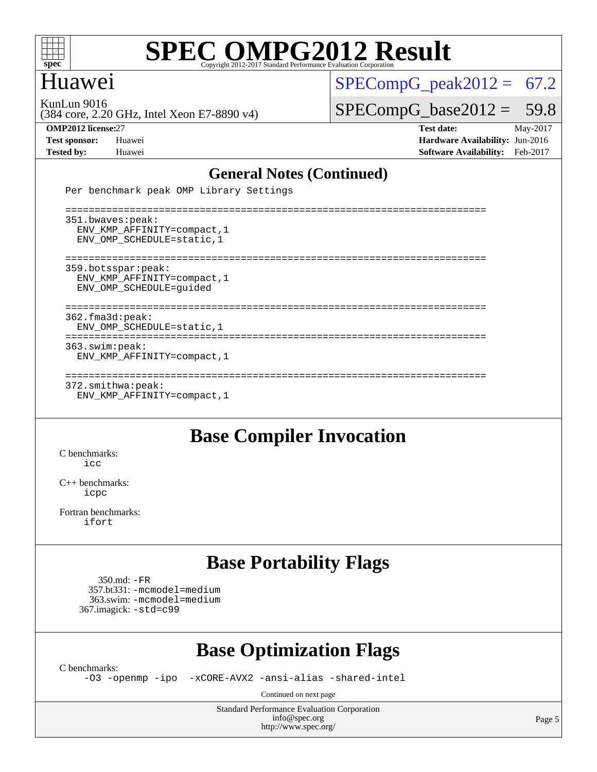

# Huawei

 $SPECompG_peak2012 = 67.2$  $SPECompG_peak2012 = 67.2$ 

KunLun 9016

 $SPECompG_base2012 = 59.8$  $SPECompG_base2012 = 59.8$ 

(384 core, 2.20 GHz, Intel Xeon E7-8890 v4)

**[OMP2012 license:](http://www.spec.org/auto/omp2012/Docs/result-fields.html#OMP2012license)**27 **[Test date:](http://www.spec.org/auto/omp2012/Docs/result-fields.html#Testdate)** May-2017 **[Test sponsor:](http://www.spec.org/auto/omp2012/Docs/result-fields.html#Testsponsor)** Huawei **[Hardware Availability:](http://www.spec.org/auto/omp2012/Docs/result-fields.html#HardwareAvailability)** Jun-2016 **[Tested by:](http://www.spec.org/auto/omp2012/Docs/result-fields.html#Testedby)** Huawei **[Software Availability:](http://www.spec.org/auto/omp2012/Docs/result-fields.html#SoftwareAvailability)** Feb-2017

### **[General Notes \(Continued\)](http://www.spec.org/auto/omp2012/Docs/result-fields.html#GeneralNotes)**

Per benchmark peak OMP Library Settings

 ======================================================================== 351.bwaves:peak: ENV\_KMP\_AFFINITY=compact,1 ENV\_OMP\_SCHEDULE=static,1 ======================================================================== 359.botsspar:peak: ENV\_KMP\_AFFINITY=compact,1 ENV\_OMP\_SCHEDULE=guided ======================================================================== 362.fma3d:peak: ENV\_OMP\_SCHEDULE=static,1 ======================================================================== 363.swim:peak: ENV\_KMP\_AFFINITY=compact,1 ======================================================================== 372.smithwa:peak: ENV\_KMP\_AFFINITY=compact,1

# **[Base Compiler Invocation](http://www.spec.org/auto/omp2012/Docs/result-fields.html#BaseCompilerInvocation)**

[C benchmarks](http://www.spec.org/auto/omp2012/Docs/result-fields.html#Cbenchmarks):  $i$ cc

[C++ benchmarks:](http://www.spec.org/auto/omp2012/Docs/result-fields.html#CXXbenchmarks) [icpc](http://www.spec.org/omp2012/results/res2017q2/omp2012-20170519-00097.flags.html#user_CXXbase_intel_icpc_2d899f8d163502b12eb4a60069f80c1c)

[Fortran benchmarks](http://www.spec.org/auto/omp2012/Docs/result-fields.html#Fortranbenchmarks): [ifort](http://www.spec.org/omp2012/results/res2017q2/omp2012-20170519-00097.flags.html#user_FCbase_intel_ifort_8a5e5e06b19a251bdeaf8fdab5d62f20)

# **[Base Portability Flags](http://www.spec.org/auto/omp2012/Docs/result-fields.html#BasePortabilityFlags)**

 350.md: [-FR](http://www.spec.org/omp2012/results/res2017q2/omp2012-20170519-00097.flags.html#user_baseFPORTABILITY350_md_f-FR) 357.bt331: [-mcmodel=medium](http://www.spec.org/omp2012/results/res2017q2/omp2012-20170519-00097.flags.html#user_basePORTABILITY357_bt331_f-mcmodel_3a41622424bdd074c4f0f2d2f224c7e5) 363.swim: [-mcmodel=medium](http://www.spec.org/omp2012/results/res2017q2/omp2012-20170519-00097.flags.html#user_basePORTABILITY363_swim_f-mcmodel_3a41622424bdd074c4f0f2d2f224c7e5) 367.imagick: [-std=c99](http://www.spec.org/omp2012/results/res2017q2/omp2012-20170519-00097.flags.html#user_baseCPORTABILITY367_imagick_f-std_2ec6533b6e06f1c4a6c9b78d9e9cde24)

# **[Base Optimization Flags](http://www.spec.org/auto/omp2012/Docs/result-fields.html#BaseOptimizationFlags)**

[C benchmarks](http://www.spec.org/auto/omp2012/Docs/result-fields.html#Cbenchmarks):

[-O3](http://www.spec.org/omp2012/results/res2017q2/omp2012-20170519-00097.flags.html#user_CCbase_f-O3) [-openmp](http://www.spec.org/omp2012/results/res2017q2/omp2012-20170519-00097.flags.html#user_CCbase_f-openmp) [-ipo](http://www.spec.org/omp2012/results/res2017q2/omp2012-20170519-00097.flags.html#user_CCbase_f-ipo_84062ab53814f613187d02344b8f49a7) [-xCORE-AVX2](http://www.spec.org/omp2012/results/res2017q2/omp2012-20170519-00097.flags.html#user_CCbase_f-xCORE-AVX2) [-ansi-alias](http://www.spec.org/omp2012/results/res2017q2/omp2012-20170519-00097.flags.html#user_CCbase_f-ansi-alias) [-shared-intel](http://www.spec.org/omp2012/results/res2017q2/omp2012-20170519-00097.flags.html#user_CCbase_f-shared-intel)

Continued on next page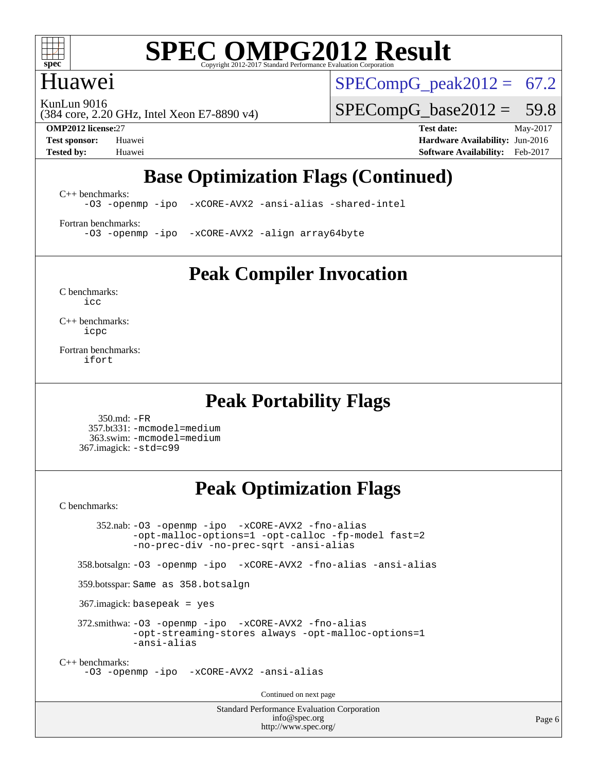

## Huawei

 $SPECompG_peak2012 = 67.2$  $SPECompG_peak2012 = 67.2$ 

KunLun 9016

(384 core, 2.20 GHz, Intel Xeon E7-8890 v4)

**[OMP2012 license:](http://www.spec.org/auto/omp2012/Docs/result-fields.html#OMP2012license)**27 **[Test date:](http://www.spec.org/auto/omp2012/Docs/result-fields.html#Testdate)** May-2017

 $SPECompG_base2012 = 59.8$  $SPECompG_base2012 = 59.8$ 

**[Test sponsor:](http://www.spec.org/auto/omp2012/Docs/result-fields.html#Testsponsor)** Huawei **[Hardware Availability:](http://www.spec.org/auto/omp2012/Docs/result-fields.html#HardwareAvailability)** Jun-2016 **[Tested by:](http://www.spec.org/auto/omp2012/Docs/result-fields.html#Testedby)** Huawei **[Software Availability:](http://www.spec.org/auto/omp2012/Docs/result-fields.html#SoftwareAvailability)** Feb-2017

# **[Base Optimization Flags \(Continued\)](http://www.spec.org/auto/omp2012/Docs/result-fields.html#BaseOptimizationFlags)**

[C++ benchmarks:](http://www.spec.org/auto/omp2012/Docs/result-fields.html#CXXbenchmarks)

[-O3](http://www.spec.org/omp2012/results/res2017q2/omp2012-20170519-00097.flags.html#user_CXXbase_f-O3) [-openmp](http://www.spec.org/omp2012/results/res2017q2/omp2012-20170519-00097.flags.html#user_CXXbase_f-openmp) [-ipo](http://www.spec.org/omp2012/results/res2017q2/omp2012-20170519-00097.flags.html#user_CXXbase_f-ipo_84062ab53814f613187d02344b8f49a7) [-xCORE-AVX2](http://www.spec.org/omp2012/results/res2017q2/omp2012-20170519-00097.flags.html#user_CXXbase_f-xCORE-AVX2) [-ansi-alias](http://www.spec.org/omp2012/results/res2017q2/omp2012-20170519-00097.flags.html#user_CXXbase_f-ansi-alias) [-shared-intel](http://www.spec.org/omp2012/results/res2017q2/omp2012-20170519-00097.flags.html#user_CXXbase_f-shared-intel)

[Fortran benchmarks](http://www.spec.org/auto/omp2012/Docs/result-fields.html#Fortranbenchmarks):

[-O3](http://www.spec.org/omp2012/results/res2017q2/omp2012-20170519-00097.flags.html#user_FCbase_f-O3) [-openmp](http://www.spec.org/omp2012/results/res2017q2/omp2012-20170519-00097.flags.html#user_FCbase_f-openmp) [-ipo](http://www.spec.org/omp2012/results/res2017q2/omp2012-20170519-00097.flags.html#user_FCbase_f-ipo_84062ab53814f613187d02344b8f49a7) [-xCORE-AVX2](http://www.spec.org/omp2012/results/res2017q2/omp2012-20170519-00097.flags.html#user_FCbase_f-xCORE-AVX2) [-align array64byte](http://www.spec.org/omp2012/results/res2017q2/omp2012-20170519-00097.flags.html#user_FCbase_f-align_c9377f996e966d652baaf753401d4725)

**[Peak Compiler Invocation](http://www.spec.org/auto/omp2012/Docs/result-fields.html#PeakCompilerInvocation)**

[C benchmarks](http://www.spec.org/auto/omp2012/Docs/result-fields.html#Cbenchmarks): [icc](http://www.spec.org/omp2012/results/res2017q2/omp2012-20170519-00097.flags.html#user_CCpeak_intel_icc_a87c68a857bc5ec5362391a49d3a37a6)

[C++ benchmarks:](http://www.spec.org/auto/omp2012/Docs/result-fields.html#CXXbenchmarks) [icpc](http://www.spec.org/omp2012/results/res2017q2/omp2012-20170519-00097.flags.html#user_CXXpeak_intel_icpc_2d899f8d163502b12eb4a60069f80c1c)

[Fortran benchmarks](http://www.spec.org/auto/omp2012/Docs/result-fields.html#Fortranbenchmarks): [ifort](http://www.spec.org/omp2012/results/res2017q2/omp2012-20170519-00097.flags.html#user_FCpeak_intel_ifort_8a5e5e06b19a251bdeaf8fdab5d62f20)

### **[Peak Portability Flags](http://www.spec.org/auto/omp2012/Docs/result-fields.html#PeakPortabilityFlags)**

 350.md: [-FR](http://www.spec.org/omp2012/results/res2017q2/omp2012-20170519-00097.flags.html#user_peakFPORTABILITY350_md_f-FR) 357.bt331: [-mcmodel=medium](http://www.spec.org/omp2012/results/res2017q2/omp2012-20170519-00097.flags.html#user_peakPORTABILITY357_bt331_f-mcmodel_3a41622424bdd074c4f0f2d2f224c7e5) 363.swim: [-mcmodel=medium](http://www.spec.org/omp2012/results/res2017q2/omp2012-20170519-00097.flags.html#user_peakPORTABILITY363_swim_f-mcmodel_3a41622424bdd074c4f0f2d2f224c7e5) 367.imagick: [-std=c99](http://www.spec.org/omp2012/results/res2017q2/omp2012-20170519-00097.flags.html#user_peakCPORTABILITY367_imagick_f-std_2ec6533b6e06f1c4a6c9b78d9e9cde24)

# **[Peak Optimization Flags](http://www.spec.org/auto/omp2012/Docs/result-fields.html#PeakOptimizationFlags)**

[C benchmarks](http://www.spec.org/auto/omp2012/Docs/result-fields.html#Cbenchmarks):

 352.nab: [-O3](http://www.spec.org/omp2012/results/res2017q2/omp2012-20170519-00097.flags.html#user_peakOPTIMIZE352_nab_f-O3) [-openmp](http://www.spec.org/omp2012/results/res2017q2/omp2012-20170519-00097.flags.html#user_peakOPTIMIZE352_nab_f-openmp) [-ipo](http://www.spec.org/omp2012/results/res2017q2/omp2012-20170519-00097.flags.html#user_peakOPTIMIZE352_nab_f-ipo_84062ab53814f613187d02344b8f49a7) [-xCORE-AVX2](http://www.spec.org/omp2012/results/res2017q2/omp2012-20170519-00097.flags.html#user_peakOPTIMIZE352_nab_f-xCORE-AVX2) [-fno-alias](http://www.spec.org/omp2012/results/res2017q2/omp2012-20170519-00097.flags.html#user_peakOPTIMIZE352_nab_f-no-alias_694e77f6c5a51e658e82ccff53a9e63a) [-opt-malloc-options=1](http://www.spec.org/omp2012/results/res2017q2/omp2012-20170519-00097.flags.html#user_peakOPTIMIZE352_nab_f-opt-malloc-options_d882ffc6ff87e51efe45f9a5190004b0) [-opt-calloc](http://www.spec.org/omp2012/results/res2017q2/omp2012-20170519-00097.flags.html#user_peakOPTIMIZE352_nab_f-opt-calloc) [-fp-model fast=2](http://www.spec.org/omp2012/results/res2017q2/omp2012-20170519-00097.flags.html#user_peakOPTIMIZE352_nab_f-fp-model_a7fb8ccb7275e23f0079632c153cfcab) [-no-prec-div](http://www.spec.org/omp2012/results/res2017q2/omp2012-20170519-00097.flags.html#user_peakOPTIMIZE352_nab_f-no-prec-div) [-no-prec-sqrt](http://www.spec.org/omp2012/results/res2017q2/omp2012-20170519-00097.flags.html#user_peakOPTIMIZE352_nab_f-no-prec-sqrt) [-ansi-alias](http://www.spec.org/omp2012/results/res2017q2/omp2012-20170519-00097.flags.html#user_peakCOPTIMIZE352_nab_f-ansi-alias) 358.botsalgn: [-O3](http://www.spec.org/omp2012/results/res2017q2/omp2012-20170519-00097.flags.html#user_peakOPTIMIZE358_botsalgn_f-O3) [-openmp](http://www.spec.org/omp2012/results/res2017q2/omp2012-20170519-00097.flags.html#user_peakOPTIMIZE358_botsalgn_f-openmp) [-ipo](http://www.spec.org/omp2012/results/res2017q2/omp2012-20170519-00097.flags.html#user_peakOPTIMIZE358_botsalgn_f-ipo_84062ab53814f613187d02344b8f49a7) [-xCORE-AVX2](http://www.spec.org/omp2012/results/res2017q2/omp2012-20170519-00097.flags.html#user_peakOPTIMIZE358_botsalgn_f-xCORE-AVX2) [-fno-alias](http://www.spec.org/omp2012/results/res2017q2/omp2012-20170519-00097.flags.html#user_peakOPTIMIZE358_botsalgn_f-no-alias_694e77f6c5a51e658e82ccff53a9e63a) [-ansi-alias](http://www.spec.org/omp2012/results/res2017q2/omp2012-20170519-00097.flags.html#user_peakCOPTIMIZE358_botsalgn_f-ansi-alias) 359.botsspar: Same as 358.botsalgn 367.imagick: basepeak = yes 372.smithwa: [-O3](http://www.spec.org/omp2012/results/res2017q2/omp2012-20170519-00097.flags.html#user_peakOPTIMIZE372_smithwa_f-O3) [-openmp](http://www.spec.org/omp2012/results/res2017q2/omp2012-20170519-00097.flags.html#user_peakOPTIMIZE372_smithwa_f-openmp) [-ipo](http://www.spec.org/omp2012/results/res2017q2/omp2012-20170519-00097.flags.html#user_peakOPTIMIZE372_smithwa_f-ipo_84062ab53814f613187d02344b8f49a7) [-xCORE-AVX2](http://www.spec.org/omp2012/results/res2017q2/omp2012-20170519-00097.flags.html#user_peakOPTIMIZE372_smithwa_f-xCORE-AVX2) [-fno-alias](http://www.spec.org/omp2012/results/res2017q2/omp2012-20170519-00097.flags.html#user_peakOPTIMIZE372_smithwa_f-no-alias_694e77f6c5a51e658e82ccff53a9e63a) [-opt-streaming-stores always](http://www.spec.org/omp2012/results/res2017q2/omp2012-20170519-00097.flags.html#user_peakOPTIMIZE372_smithwa_f-opt-streaming-stores-always_66f55dbc532842151ebc4c82f4f5b019) [-opt-malloc-options=1](http://www.spec.org/omp2012/results/res2017q2/omp2012-20170519-00097.flags.html#user_peakOPTIMIZE372_smithwa_f-opt-malloc-options_d882ffc6ff87e51efe45f9a5190004b0) [-ansi-alias](http://www.spec.org/omp2012/results/res2017q2/omp2012-20170519-00097.flags.html#user_peakCOPTIMIZE372_smithwa_f-ansi-alias) [C++ benchmarks:](http://www.spec.org/auto/omp2012/Docs/result-fields.html#CXXbenchmarks) [-O3](http://www.spec.org/omp2012/results/res2017q2/omp2012-20170519-00097.flags.html#user_CXXpeak_f-O3) [-openmp](http://www.spec.org/omp2012/results/res2017q2/omp2012-20170519-00097.flags.html#user_CXXpeak_f-openmp) [-ipo](http://www.spec.org/omp2012/results/res2017q2/omp2012-20170519-00097.flags.html#user_CXXpeak_f-ipo_84062ab53814f613187d02344b8f49a7) [-xCORE-AVX2](http://www.spec.org/omp2012/results/res2017q2/omp2012-20170519-00097.flags.html#user_CXXpeak_f-xCORE-AVX2) [-ansi-alias](http://www.spec.org/omp2012/results/res2017q2/omp2012-20170519-00097.flags.html#user_CXXpeak_f-ansi-alias) Continued on next page